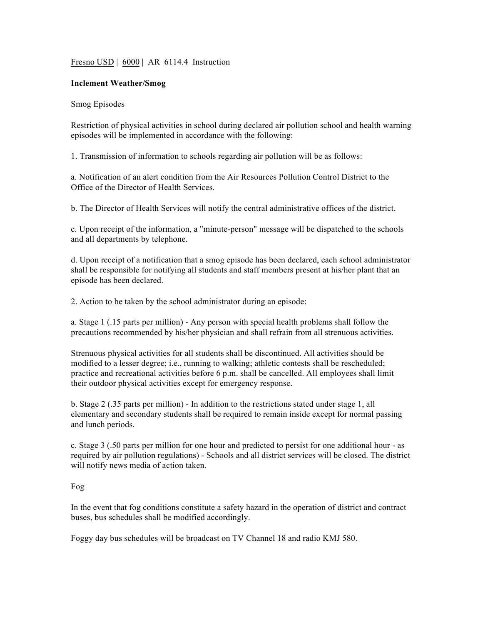## Fresno USD | 6000 | AR 6114.4 Instruction

## **Inclement Weather/Smog**

## Smog Episodes

Restriction of physical activities in school during declared air pollution school and health warning episodes will be implemented in accordance with the following:

1. Transmission of information to schools regarding air pollution will be as follows:

a. Notification of an alert condition from the Air Resources Pollution Control District to the Office of the Director of Health Services.

b. The Director of Health Services will notify the central administrative offices of the district.

c. Upon receipt of the information, a "minute-person" message will be dispatched to the schools and all departments by telephone.

d. Upon receipt of a notification that a smog episode has been declared, each school administrator shall be responsible for notifying all students and staff members present at his/her plant that an episode has been declared.

2. Action to be taken by the school administrator during an episode:

a. Stage 1 (.15 parts per million) - Any person with special health problems shall follow the precautions recommended by his/her physician and shall refrain from all strenuous activities.

Strenuous physical activities for all students shall be discontinued. All activities should be modified to a lesser degree; i.e., running to walking; athletic contests shall be rescheduled; practice and recreational activities before 6 p.m. shall be cancelled. All employees shall limit their outdoor physical activities except for emergency response.

b. Stage 2 (.35 parts per million) - In addition to the restrictions stated under stage 1, all elementary and secondary students shall be required to remain inside except for normal passing and lunch periods.

c. Stage 3 (.50 parts per million for one hour and predicted to persist for one additional hour - as required by air pollution regulations) - Schools and all district services will be closed. The district will notify news media of action taken.

## Fog

In the event that fog conditions constitute a safety hazard in the operation of district and contract buses, bus schedules shall be modified accordingly.

Foggy day bus schedules will be broadcast on TV Channel 18 and radio KMJ 580.